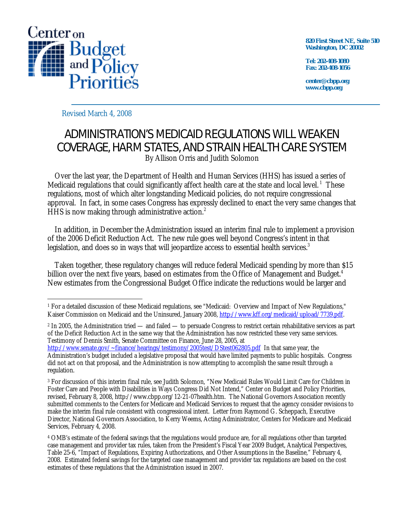

**820 First Street NE, Suite 510 Washington, DC 20002** 

**Tel: 202-408-1080 Fax: 202-408-1056** 

**center@cbpp.org www.cbpp.org** 

Revised March 4, 2008

# ADMINISTRATION'S MEDICAID REGULATIONS WILL WEAKEN COVERAGE, HARM STATES, AND STRAIN HEALTH CARE SYSTEM By Allison Orris and Judith Solomon

 Over the last year, the Department of Health and Human Services (HHS) has issued a series of Medicaid regulations that could significantly affect health care at the state and local level.<sup>1</sup> These regulations, most of which alter longstanding Medicaid policies, do not require congressional approval. In fact, in some cases Congress has expressly declined to enact the very same changes that HHS is now making through administrative action.<sup>2</sup>

 In addition, in December the Administration issued an interim final rule to implement a provision of the 2006 Deficit Reduction Act. The new rule goes well beyond Congress's intent in that legislation, and does so in ways that will jeopardize access to essential health services.<sup>3</sup>

 Taken together, these regulatory changes will reduce federal Medicaid spending by more than \$15 billion over the next five years, based on estimates from the Office of Management and Budget.<sup>4</sup> New estimates from the Congressional Budget Office indicate the reductions would be larger and

 $\overline{a}$ 1 For a detailed discussion of these Medicaid regulations, see "Medicaid: Overview and Impact of New Regulations," Kaiser Commission on Medicaid and the Uninsured, January 2008, http://www.kff.org/medicaid/upload/7739.pdf.

 $^2$  In 2005, the Administration tried — and failed — to persuade Congress to restrict certain rehabilitative services as part of the Deficit Reduction Act in the same way that the Administration has now restricted these very same services. Testimony of Dennis Smith, Senate Committee on Finance, June 28, 2005, at

http://www.senate.gov/~finance/hearings/testimony/2005test/DStest062805.pdf In that same year, the Administration's budget included a legislative proposal that would have limited payments to public hospitals. Congress did not act on that proposal, and the Administration is now attempting to accomplish the same result through a regulation.

<sup>3</sup> For discussion of this interim final rule, see Judith Solomon, "New Medicaid Rules Would Limit Care for Children in Foster Care and People with Disabilities in Ways Congress Did Not Intend," Center on Budget and Policy Priorities, revised, February 8, 2008, http://www.cbpp.org/12-21-07health.htm. The National Governors Association recently submitted comments to the Centers for Medicare and Medicaid Services to request that the agency consider revisions to make the interim final rule consistent with congressional intent. Letter from Raymond G. Scheppach, Executive Director, National Governors Association, to Kerry Weems, Acting Administrator, Centers for Medicare and Medicaid Services, February 4, 2008.

<sup>4</sup> OMB's estimate of the federal savings that the regulations would produce are, for all regulations other than targeted case management and provider tax rules, taken from the President's Fiscal Year 2009 Budget, Analytical Perspectives, Table 25-6, "Impact of Regulations, Expiring Authorizations, and Other Assumptions in the Baseline," February 4, 2008. Estimated federal savings for the targeted case management and provider tax regulations are based on the cost estimates of these regulations that the Administration issued in 2007.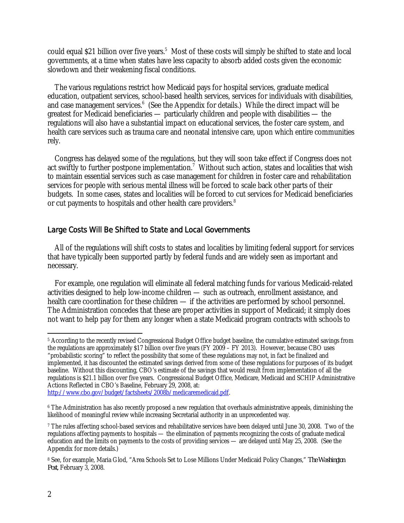could equal \$21 billion over five years.<sup>5</sup> Most of these costs will simply be shifted to state and local governments, at a time when states have less capacity to absorb added costs given the economic slowdown and their weakening fiscal conditions.

 The various regulations restrict how Medicaid pays for hospital services, graduate medical education, outpatient services, school-based health services, services for individuals with disabilities, and case management services.<sup>6</sup> (See the Appendix for details.) While the direct impact will be greatest for Medicaid beneficiaries — particularly children and people with disabilities — the regulations will also have a substantial impact on educational services, the foster care system, and health care services such as trauma care and neonatal intensive care, upon which entire communities rely.

 Congress has delayed some of the regulations, but they will soon take effect if Congress does not act swiftly to further postpone implementation.<sup>7</sup> Without such action, states and localities that wish to maintain essential services such as case management for children in foster care and rehabilitation services for people with serious mental illness will be forced to scale back other parts of their budgets. In some cases, states and localities will be forced to cut services for Medicaid beneficiaries or cut payments to hospitals and other health care providers.<sup>8</sup>

### Large Costs Will Be Shifted to State and Local Governments

 All of the regulations will shift costs to states and localities by limiting federal support for services that have typically been supported partly by federal funds and are widely seen as important and necessary.

For example, one regulation will eliminate all federal matching funds for various Medicaid-related activities designed to help low-income children — such as outreach, enrollment assistance, and health care coordination for these children — if the activities are performed by school personnel. The Administration concedes that these are proper activities in support of Medicaid; it simply does not want to help pay for them any longer when a state Medicaid program contracts with schools to

 $\overline{a}$ 5 According to the recently revised Congressional Budget Office budget baseline, the cumulative estimated savings from the regulations are approximately \$17 billion over five years (FY 2009 – FY 2013). However, because CBO uses "probabilistic scoring" to reflect the possibility that some of these regulations may not, in fact be finalized and implemented, it has discounted the estimated savings derived from some of these regulations for purposes of its budget baseline. Without this discounting, CBO's estimate of the savings that would result from implementation of all the regulations is \$21.1 billion over five years. Congressional Budget Office, Medicare, Medicaid and SCHIP Administrative Actions Reflected in CBO's Baseline, February 29, 2008, at:

http://www.cbo.gov/budget/factsheets/2008b/medicaremedicaid.pdf.

<sup>&</sup>lt;sup>6</sup> The Administration has also recently proposed a new regulation that overhauls administrative appeals, diminishing the likelihood of meaningful review while increasing Secretarial authority in an unprecedented way.

<sup>7</sup> The rules affecting school-based services and rehabilitative services have been delayed until June 30, 2008. Two of the regulations affecting payments to hospitals — the elimination of payments recognizing the costs of graduate medical education and the limits on payments to the costs of providing services — are delayed until May 25, 2008. (See the Appendix for more details.)

<sup>8</sup> See, for example, Maria Glod, "Area Schools Set to Lose Millions Under Medicaid Policy Changes," *The Washington Post,* February 3, 2008.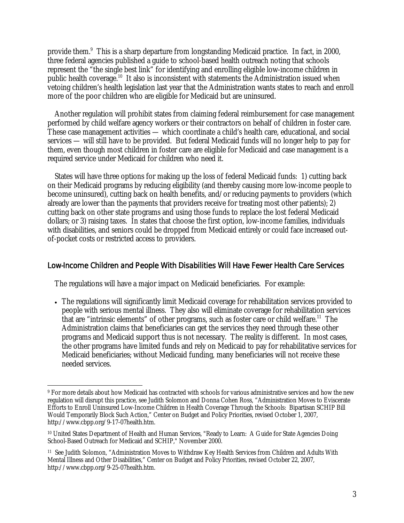provide them.<sup>9</sup> This is a sharp departure from longstanding Medicaid practice. In fact, in 2000, three federal agencies published a guide to school-based health outreach noting that schools represent the "the single best link" for identifying and enrolling eligible low-income children in public health coverage.<sup>10</sup> It also is inconsistent with statements the Administration issued when vetoing children's health legislation last year that the Administration wants states to reach and enroll more of the poor children who are eligible for Medicaid but are uninsured.

Another regulation will prohibit states from claiming federal reimbursement for case management performed by child welfare agency workers or their contractors on behalf of children in foster care. These case management activities — which coordinate a child's health care, educational, and social services — will still have to be provided. But federal Medicaid funds will no longer help to pay for them, even though most children in foster care are eligible for Medicaid and case management is a required service under Medicaid for children who need it.

 States will have three options for making up the loss of federal Medicaid funds: 1) cutting back on their Medicaid programs by reducing eligibility (and thereby causing more low-income people to become uninsured), cutting back on health benefits, and/or reducing payments to providers (which already are lower than the payments that providers receive for treating most other patients); 2) cutting back on other state programs and using those funds to replace the lost federal Medicaid dollars; or 3) raising taxes. In states that choose the first option, low-income families, individuals with disabilities, and seniors could be dropped from Medicaid entirely or could face increased outof-pocket costs or restricted access to providers.

### Low-Income Children and People With Disabilities Will Have Fewer Health Care Services

The regulations will have a major impact on Medicaid beneficiaries. For example:

-

• The regulations will significantly limit Medicaid coverage for rehabilitation services provided to people with serious mental illness. They also will eliminate coverage for rehabilitation services that are "intrinsic elements" of other programs, such as foster care or child welfare.<sup>11</sup> The Administration claims that beneficiaries can get the services they need through these other programs and Medicaid support thus is not necessary. The reality is different. In most cases, the other programs have limited funds and rely on Medicaid to pay for rehabilitative services for Medicaid beneficiaries; without Medicaid funding, many beneficiaries will not receive these needed services.

<sup>9</sup> For more details about how Medicaid has contracted with schools for various administrative services and how the new regulation will disrupt this practice, see Judith Solomon and Donna Cohen Ross, "Administration Moves to Eviscerate Efforts to Enroll Uninsured Low-Income Children in Health Coverage Through the Schools: Bipartisan SCHIP Bill Would Temporarily Block Such Action," Center on Budget and Policy Priorities, revised October 1, 2007, http://www.cbpp.org/9-17-07health.htm.

<sup>10</sup> United States Department of Health and Human Services, "Ready to Learn: A Guide for State Agencies Doing School-Based Outreach for Medicaid and SCHIP," November 2000.

<sup>11</sup> See Judith Solomon, "Administration Moves to Withdraw Key Health Services from Children and Adults With Mental Illness and Other Disabilities," Center on Budget and Policy Priorities, revised October 22, 2007, http://www.cbpp.org/9-25-07health.htm.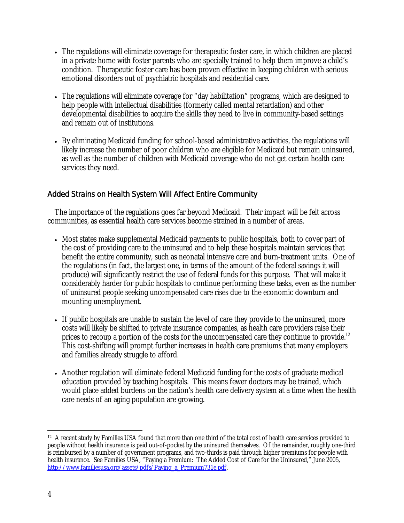- The regulations will eliminate coverage for therapeutic foster care, in which children are placed in a private home with foster parents who are specially trained to help them improve a child's condition. Therapeutic foster care has been proven effective in keeping children with serious emotional disorders out of psychiatric hospitals and residential care.
- The regulations will eliminate coverage for "day habilitation" programs, which are designed to help people with intellectual disabilities (formerly called mental retardation) and other developmental disabilities to acquire the skills they need to live in community-based settings and remain out of institutions.
- By eliminating Medicaid funding for school-based administrative activities, the regulations will likely increase the number of poor children who are eligible for Medicaid but remain uninsured, as well as the number of children with Medicaid coverage who do not get certain health care services they need.

## Added Strains on Health System Will Affect Entire Community

The importance of the regulations goes far beyond Medicaid. Their impact will be felt across communities, as essential health care services become strained in a number of areas.

- Most states make supplemental Medicaid payments to public hospitals, both to cover part of the cost of providing care to the uninsured and to help these hospitals maintain services that benefit the entire community, such as neonatal intensive care and burn-treatment units. One of the regulations (in fact, the largest one, in terms of the amount of the federal savings it will produce) will significantly restrict the use of federal funds for this purpose. That will make it considerably harder for public hospitals to continue performing these tasks, even as the number of uninsured people seeking uncompensated care rises due to the economic downturn and mounting unemployment.
- If public hospitals are unable to sustain the level of care they provide to the uninsured, more costs will likely be shifted to private insurance companies, as health care providers raise their prices to recoup a portion of the costs for the uncompensated care they continue to provide.<sup>12</sup> This cost-shifting will prompt further increases in health care premiums that many employers and families already struggle to afford.
- Another regulation will eliminate federal Medicaid funding for the costs of graduate medical education provided by teaching hospitals. This means fewer doctors may be trained, which would place added burdens on the nation's health care delivery system at a time when the health care needs of an aging population are growing.

 $\overline{a}$ <sup>12</sup> A recent study by Families USA found that more than one third of the total cost of health care services provided to people without health insurance is paid out-of-pocket by the uninsured themselves. Of the remainder, roughly one-third is reimbursed by a number of government programs, and two-thirds is paid through higher premiums for people with health insurance. See Families USA, "Paying a Premium: The Added Cost of Care for the Uninsured," June 2005, http://www.familiesusa.org/assets/pdfs/Paying\_a\_Premium731e.pdf.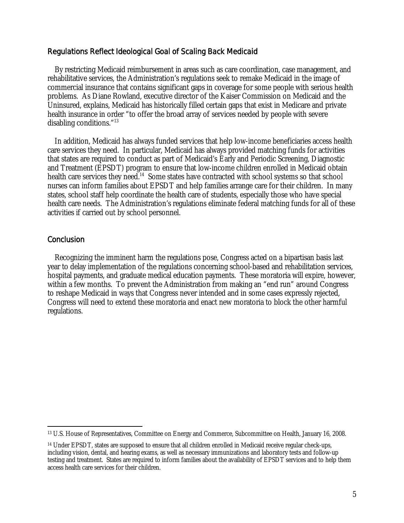### Regulations Reflect Ideological Goal of Scaling Back Medicaid

 By restricting Medicaid reimbursement in areas such as care coordination, case management, and rehabilitative services, the Administration's regulations seek to remake Medicaid in the image of commercial insurance that contains significant gaps in coverage for some people with serious health problems. As Diane Rowland, executive director of the Kaiser Commission on Medicaid and the Uninsured, explains, Medicaid has historically filled certain gaps that exist in Medicare and private health insurance in order "to offer the broad array of services needed by people with severe disabling conditions."13

 In addition, Medicaid has always funded services that help low-income beneficiaries access health care services they need. In particular, Medicaid has always provided matching funds for activities that states are required to conduct as part of Medicaid's Early and Periodic Screening, Diagnostic and Treatment (EPSDT) program to ensure that low-income children enrolled in Medicaid obtain health care services they need.<sup>14</sup> Some states have contracted with school systems so that school nurses can inform families about EPSDT and help families arrange care for their children. In many states, school staff help coordinate the health care of students, especially those who have special health care needs. The Administration's regulations eliminate federal matching funds for all of these activities if carried out by school personnel.

### **Conclusion**

 $\overline{a}$ 

 Recognizing the imminent harm the regulations pose, Congress acted on a bipartisan basis last year to delay implementation of the regulations concerning school-based and rehabilitation services, hospital payments, and graduate medical education payments. These moratoria will expire, however, within a few months. To prevent the Administration from making an "end run" around Congress to reshape Medicaid in ways that Congress never intended and in some cases expressly rejected, Congress will need to extend these moratoria and enact new moratoria to block the other harmful regulations.

<sup>13</sup> U.S. House of Representatives, Committee on Energy and Commerce, Subcommittee on Health, January 16, 2008.

<sup>14</sup> Under EPSDT, states are supposed to ensure that all children enrolled in Medicaid receive regular check-ups, including vision, dental, and hearing exams, as well as necessary immunizations and laboratory tests and follow-up testing and treatment. States are required to inform families about the availability of EPSDT services and to help them access health care services for their children.